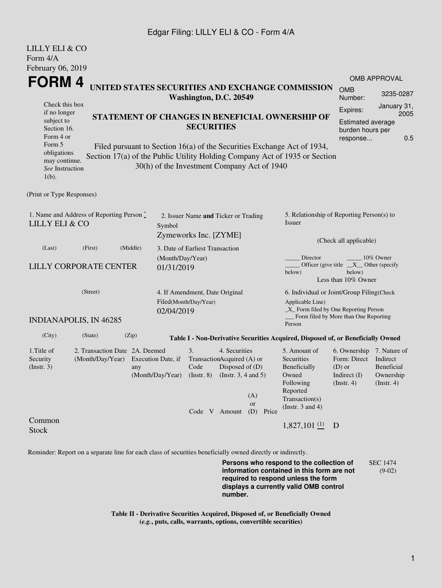## Edgar Filing: LILLY ELI & CO - Form 4/A

LILLY ELI & CO

| LILL I ELI & CU<br>Form 4/A                                                                                                                                                                                                                                                                                                                                                                                                                                                                                                                    |                                                         |                                        |                                                                         |                                                                               |                  |                                                                                                                                                              |                                                                                                                         |                                                                                                                                      |                                               |  |  |
|------------------------------------------------------------------------------------------------------------------------------------------------------------------------------------------------------------------------------------------------------------------------------------------------------------------------------------------------------------------------------------------------------------------------------------------------------------------------------------------------------------------------------------------------|---------------------------------------------------------|----------------------------------------|-------------------------------------------------------------------------|-------------------------------------------------------------------------------|------------------|--------------------------------------------------------------------------------------------------------------------------------------------------------------|-------------------------------------------------------------------------------------------------------------------------|--------------------------------------------------------------------------------------------------------------------------------------|-----------------------------------------------|--|--|
| February 06, 2019<br>FORM 4<br>UNITED STATES SECURITIES AND EXCHANGE COMMISSION<br>Washington, D.C. 20549<br>Check this box<br>if no longer<br>STATEMENT OF CHANGES IN BENEFICIAL OWNERSHIP OF<br>subject to<br><b>SECURITIES</b><br>Section 16.<br>Form 4 or<br>Form 5<br>Filed pursuant to Section 16(a) of the Securities Exchange Act of 1934,<br>obligations<br>Section 17(a) of the Public Utility Holding Company Act of 1935 or Section<br>may continue.<br>30(h) of the Investment Company Act of 1940<br>See Instruction<br>$1(b)$ . |                                                         |                                        |                                                                         |                                                                               |                  | OMB APPROVAL<br><b>OMB</b><br>3235-0287<br>Number:<br>January 31,<br>Expires:<br>2005<br><b>Estimated average</b><br>burden hours per<br>0.5<br>response     |                                                                                                                         |                                                                                                                                      |                                               |  |  |
| (Print or Type Responses)                                                                                                                                                                                                                                                                                                                                                                                                                                                                                                                      |                                                         |                                        |                                                                         |                                                                               |                  |                                                                                                                                                              |                                                                                                                         |                                                                                                                                      |                                               |  |  |
| 1. Name and Address of Reporting Person $\stackrel{*}{\mathbb{L}}$<br><b>LILLY ELI &amp; CO</b>                                                                                                                                                                                                                                                                                                                                                                                                                                                |                                                         |                                        | 2. Issuer Name and Ticker or Trading<br>Symbol<br>Zymeworks Inc. [ZYME] |                                                                               |                  |                                                                                                                                                              | 5. Relationship of Reporting Person(s) to<br>Issuer                                                                     |                                                                                                                                      |                                               |  |  |
| (Last)<br>(First)                                                                                                                                                                                                                                                                                                                                                                                                                                                                                                                              | (Middle)<br><b>LILLY CORPORATE CENTER</b><br>01/31/2019 |                                        |                                                                         | 3. Date of Earliest Transaction<br>(Month/Day/Year)                           |                  |                                                                                                                                                              |                                                                                                                         | (Check all applicable)<br>Director<br>10% Owner<br>Officer (give title $X$ Other (specify<br>below)<br>below)<br>Less than 10% Owner |                                               |  |  |
| (Street)<br>02/04/2019<br><b>INDIANAPOLIS, IN 46285</b>                                                                                                                                                                                                                                                                                                                                                                                                                                                                                        |                                                         |                                        | 4. If Amendment, Date Original<br>Filed(Month/Day/Year)                 |                                                                               |                  | 6. Individual or Joint/Group Filing(Check<br>Applicable Line)<br>$\_X$ Form filed by One Reporting Person<br>Form filed by More than One Reporting<br>Person |                                                                                                                         |                                                                                                                                      |                                               |  |  |
| (City)<br>(State)                                                                                                                                                                                                                                                                                                                                                                                                                                                                                                                              | (Zip)                                                   |                                        |                                                                         |                                                                               |                  |                                                                                                                                                              | Table I - Non-Derivative Securities Acquired, Disposed of, or Beneficially Owned                                        |                                                                                                                                      |                                               |  |  |
| 1. Title of<br>Security<br>(Month/Day/Year)<br>(Insert. 3)                                                                                                                                                                                                                                                                                                                                                                                                                                                                                     | 2. Transaction Date 2A. Deemed<br>any                   | Execution Date, if<br>(Month/Day/Year) | 3.<br>TransactionAcquired (A) or<br>Code<br>$($ Instr. $8)$             | 4. Securities<br>Disposed of (D)<br>(Instr. $3, 4$ and $5$ )<br>Code V Amount | (A)<br>or<br>(D) | Price                                                                                                                                                        | 5. Amount of<br>Securities<br>Beneficially<br>Owned<br>Following<br>Reported<br>Transaction(s)<br>(Instr. $3$ and $4$ ) | 6. Ownership 7. Nature of<br>Form: Direct Indirect<br>$(D)$ or<br>Indirect $(I)$<br>(Insert. 4)                                      | <b>Beneficial</b><br>Ownership<br>(Insert. 4) |  |  |
| Common<br><b>Stock</b>                                                                                                                                                                                                                                                                                                                                                                                                                                                                                                                         |                                                         |                                        |                                                                         |                                                                               |                  |                                                                                                                                                              | $1,827,101$ (1)                                                                                                         | D                                                                                                                                    |                                               |  |  |

Reminder: Report on a separate line for each class of securities beneficially owned directly or indirectly.

**Persons who respond to the collection of information contained in this form are not required to respond unless the form displays a currently valid OMB control number.** SEC 1474 (9-02)

**Table II - Derivative Securities Acquired, Disposed of, or Beneficially Owned (***e.g.***, puts, calls, warrants, options, convertible securities)**